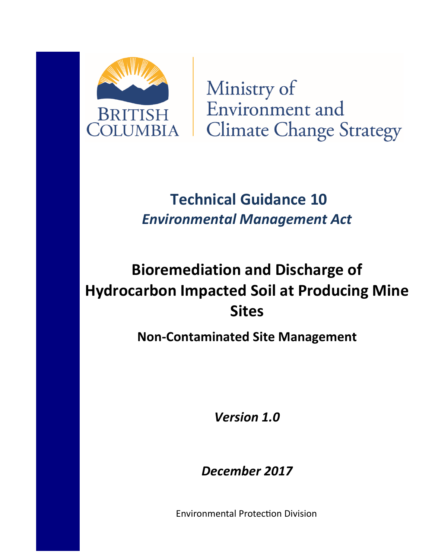

Ministry of Environment and **Climate Change Strategy** 

# Technical Guidance 10 Environmental Management Act

# Bioremediation and Discharge of Hydrocarbon Impacted Soil at Producing Mine Sites

Non-Contaminated Site Management

Version 1.0

December 2017

Environmental Protection Division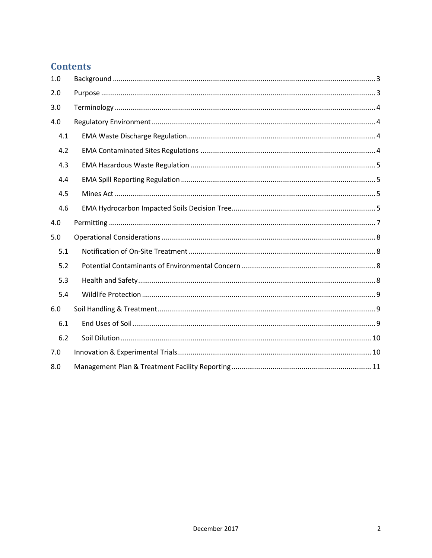# **Contents**

| 1.0 |  |
|-----|--|
| 2.0 |  |
| 3.0 |  |
| 4.0 |  |
| 4.1 |  |
| 4.2 |  |
| 4.3 |  |
| 4.4 |  |
| 4.5 |  |
| 4.6 |  |
| 4.0 |  |
| 5.0 |  |
| 5.1 |  |
| 5.2 |  |
| 5.3 |  |
| 5.4 |  |
| 6.0 |  |
| 6.1 |  |
| 6.2 |  |
| 7.0 |  |
| 8.0 |  |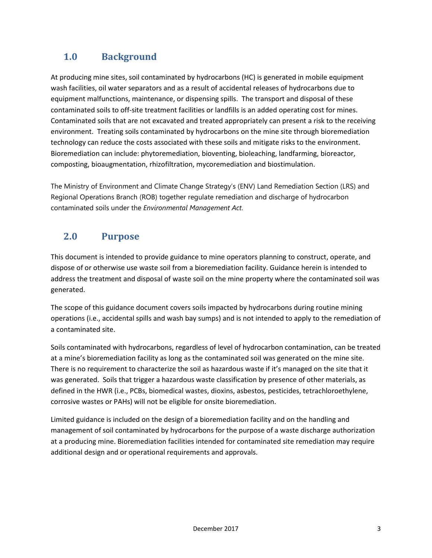# 1.0 Background

At producing mine sites, soil contaminated by hydrocarbons (HC) is generated in mobile equipment wash facilities, oil water separators and as a result of accidental releases of hydrocarbons due to equipment malfunctions, maintenance, or dispensing spills. The transport and disposal of these contaminated soils to off-site treatment facilities or landfills is an added operating cost for mines. Contaminated soils that are not excavated and treated appropriately can present a risk to the receiving environment. Treating soils contaminated by hydrocarbons on the mine site through bioremediation technology can reduce the costs associated with these soils and mitigate risks to the environment. Bioremediation can include: phytoremediation, bioventing, bioleaching, landfarming, bioreactor, composting, bioaugmentation, rhizofiltration, mycoremediation and biostimulation.

The Ministry of Environment and Climate Change Strategy's (ENV) Land Remediation Section (LRS) and Regional Operations Branch (ROB) together regulate remediation and discharge of hydrocarbon contaminated soils under the Environmental Management Act.

# 2.0 Purpose

This document is intended to provide guidance to mine operators planning to construct, operate, and dispose of or otherwise use waste soil from a bioremediation facility. Guidance herein is intended to address the treatment and disposal of waste soil on the mine property where the contaminated soil was generated.

The scope of this guidance document covers soils impacted by hydrocarbons during routine mining operations (i.e., accidental spills and wash bay sumps) and is not intended to apply to the remediation of a contaminated site.

Soils contaminated with hydrocarbons, regardless of level of hydrocarbon contamination, can be treated at a mine's bioremediation facility as long as the contaminated soil was generated on the mine site. There is no requirement to characterize the soil as hazardous waste if it's managed on the site that it was generated. Soils that trigger a hazardous waste classification by presence of other materials, as defined in the HWR (i.e., PCBs, biomedical wastes, dioxins, asbestos, pesticides, tetrachloroethylene, corrosive wastes or PAHs) will not be eligible for onsite bioremediation.

Limited guidance is included on the design of a bioremediation facility and on the handling and management of soil contaminated by hydrocarbons for the purpose of a waste discharge authorization at a producing mine. Bioremediation facilities intended for contaminated site remediation may require additional design and or operational requirements and approvals.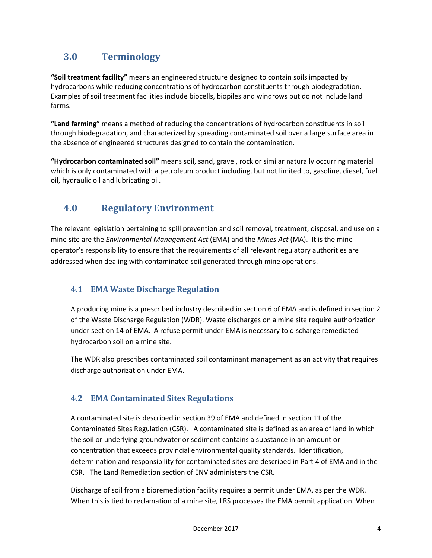# 3.0 Terminology

"Soil treatment facility" means an engineered structure designed to contain soils impacted by hydrocarbons while reducing concentrations of hydrocarbon constituents through biodegradation. Examples of soil treatment facilities include biocells, biopiles and windrows but do not include land farms.

"Land farming" means a method of reducing the concentrations of hydrocarbon constituents in soil through biodegradation, and characterized by spreading contaminated soil over a large surface area in the absence of engineered structures designed to contain the contamination.

"Hydrocarbon contaminated soil" means soil, sand, gravel, rock or similar naturally occurring material which is only contaminated with a petroleum product including, but not limited to, gasoline, diesel, fuel oil, hydraulic oil and lubricating oil.

# 4.0 Regulatory Environment

The relevant legislation pertaining to spill prevention and soil removal, treatment, disposal, and use on a mine site are the *Environmental Management Act* (EMA) and the *Mines Act* (MA). It is the mine operator's responsibility to ensure that the requirements of all relevant regulatory authorities are addressed when dealing with contaminated soil generated through mine operations.

## 4.1 EMA Waste Discharge Regulation

A producing mine is a prescribed industry described in section 6 of EMA and is defined in section 2 of the Waste Discharge Regulation (WDR). Waste discharges on a mine site require authorization under section 14 of EMA. A refuse permit under EMA is necessary to discharge remediated hydrocarbon soil on a mine site.

The WDR also prescribes contaminated soil contaminant management as an activity that requires discharge authorization under EMA.

## 4.2 EMA Contaminated Sites Regulations

A contaminated site is described in section 39 of EMA and defined in section 11 of the Contaminated Sites Regulation (CSR). A contaminated site is defined as an area of land in which the soil or underlying groundwater or sediment contains a substance in an amount or concentration that exceeds provincial environmental quality standards. Identification, determination and responsibility for contaminated sites are described in Part 4 of EMA and in the CSR. The Land Remediation section of ENV administers the CSR.

Discharge of soil from a bioremediation facility requires a permit under EMA, as per the WDR. When this is tied to reclamation of a mine site, LRS processes the EMA permit application. When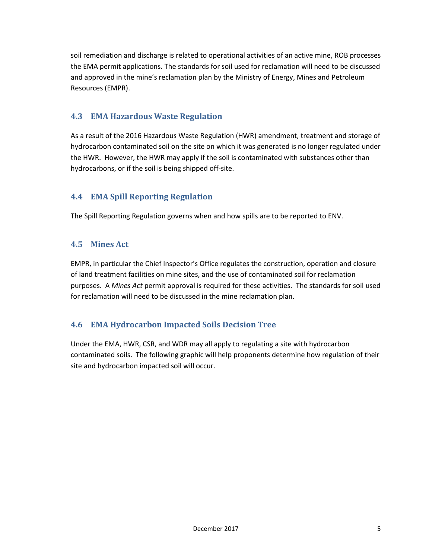soil remediation and discharge is related to operational activities of an active mine, ROB processes the EMA permit applications. The standards for soil used for reclamation will need to be discussed and approved in the mine's reclamation plan by the Ministry of Energy, Mines and Petroleum Resources (EMPR).

## 4.3 EMA Hazardous Waste Regulation

As a result of the 2016 Hazardous Waste Regulation (HWR) amendment, treatment and storage of hydrocarbon contaminated soil on the site on which it was generated is no longer regulated under the HWR. However, the HWR may apply if the soil is contaminated with substances other than hydrocarbons, or if the soil is being shipped off-site.

## 4.4 EMA Spill Reporting Regulation

The Spill Reporting Regulation governs when and how spills are to be reported to ENV.

## 4.5 Mines Act

EMPR, in particular the Chief Inspector's Office regulates the construction, operation and closure of land treatment facilities on mine sites, and the use of contaminated soil for reclamation purposes. A Mines Act permit approval is required for these activities. The standards for soil used for reclamation will need to be discussed in the mine reclamation plan.

## 4.6 EMA Hydrocarbon Impacted Soils Decision Tree

Under the EMA, HWR, CSR, and WDR may all apply to regulating a site with hydrocarbon contaminated soils. The following graphic will help proponents determine how regulation of their site and hydrocarbon impacted soil will occur.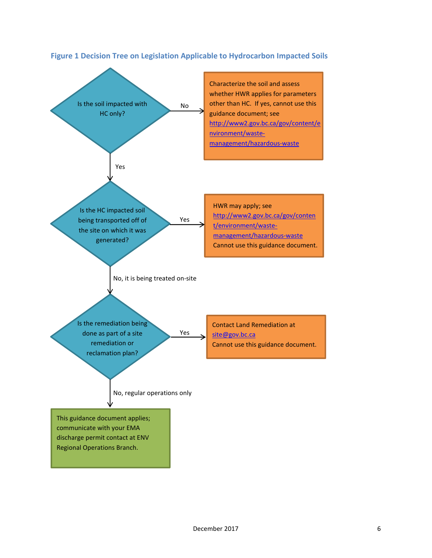

#### Figure 1 Decision Tree on Legislation Applicable to Hydrocarbon Impacted Soils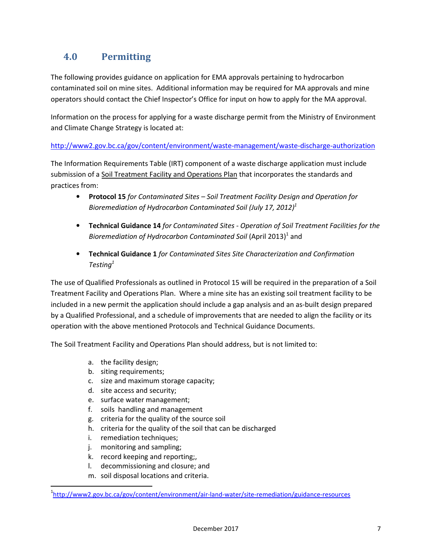# 4.0 Permitting

The following provides guidance on application for EMA approvals pertaining to hydrocarbon contaminated soil on mine sites. Additional information may be required for MA approvals and mine operators should contact the Chief Inspector's Office for input on how to apply for the MA approval.

Information on the process for applying for a waste discharge permit from the Ministry of Environment and Climate Change Strategy is located at:

http://www2.gov.bc.ca/gov/content/environment/waste-management/waste-discharge-authorization

The Information Requirements Table (IRT) component of a waste discharge application must include submission of a Soil Treatment Facility and Operations Plan that incorporates the standards and practices from:

- Protocol 15 for Contaminated Sites Soil Treatment Facility Design and Operation for Bioremediation of Hydrocarbon Contaminated Soil (July 17, 2012)<sup>1</sup>
- Technical Guidance 14 for Contaminated Sites Operation of Soil Treatment Facilities for the Bioremediation of Hydrocarbon Contaminated Soil (April 2013)<sup>1</sup> and
- Technical Guidance 1 for Contaminated Sites Site Characterization and Confirmation Testing $1$

The use of Qualified Professionals as outlined in Protocol 15 will be required in the preparation of a Soil Treatment Facility and Operations Plan. Where a mine site has an existing soil treatment facility to be included in a new permit the application should include a gap analysis and an as-built design prepared by a Qualified Professional, and a schedule of improvements that are needed to align the facility or its operation with the above mentioned Protocols and Technical Guidance Documents.

The Soil Treatment Facility and Operations Plan should address, but is not limited to:

- a. the facility design;
- b. siting requirements;
- c. size and maximum storage capacity;
- d. site access and security;
- e. surface water management;
- f. soils handling and management
- g. criteria for the quality of the source soil
- h. criteria for the quality of the soil that can be discharged
- i. remediation techniques;
- j. monitoring and sampling;

 $\overline{a}$ 

- k. record keeping and reporting;,
- l. decommissioning and closure; and
- m. soil disposal locations and criteria.

<sup>&</sup>lt;sup>1</sup>http://www2.gov.bc.ca/gov/content/environment/air-land-water/site-remediation/guidance-resources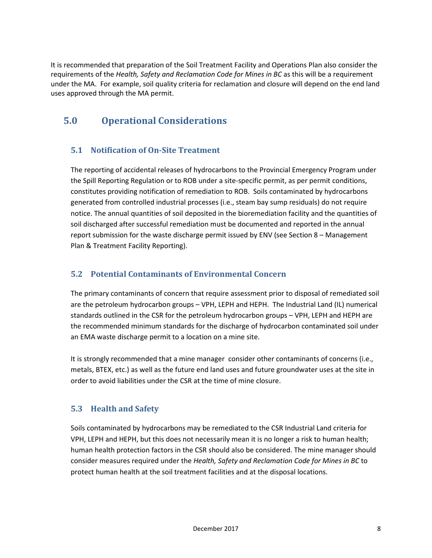It is recommended that preparation of the Soil Treatment Facility and Operations Plan also consider the requirements of the Health, Safety and Reclamation Code for Mines in BC as this will be a requirement under the MA. For example, soil quality criteria for reclamation and closure will depend on the end land uses approved through the MA permit.

# 5.0 Operational Considerations

## 5.1 Notification of On-Site Treatment

The reporting of accidental releases of hydrocarbons to the Provincial Emergency Program under the Spill Reporting Regulation or to ROB under a site-specific permit, as per permit conditions, constitutes providing notification of remediation to ROB. Soils contaminated by hydrocarbons generated from controlled industrial processes (i.e., steam bay sump residuals) do not require notice. The annual quantities of soil deposited in the bioremediation facility and the quantities of soil discharged after successful remediation must be documented and reported in the annual report submission for the waste discharge permit issued by ENV (see Section 8 – Management Plan & Treatment Facility Reporting).

## 5.2 Potential Contaminants of Environmental Concern

The primary contaminants of concern that require assessment prior to disposal of remediated soil are the petroleum hydrocarbon groups – VPH, LEPH and HEPH. The Industrial Land (IL) numerical standards outlined in the CSR for the petroleum hydrocarbon groups – VPH, LEPH and HEPH are the recommended minimum standards for the discharge of hydrocarbon contaminated soil under an EMA waste discharge permit to a location on a mine site.

It is strongly recommended that a mine manager consider other contaminants of concerns (i.e., metals, BTEX, etc.) as well as the future end land uses and future groundwater uses at the site in order to avoid liabilities under the CSR at the time of mine closure.

## 5.3 Health and Safety

Soils contaminated by hydrocarbons may be remediated to the CSR Industrial Land criteria for VPH, LEPH and HEPH, but this does not necessarily mean it is no longer a risk to human health; human health protection factors in the CSR should also be considered. The mine manager should consider measures required under the Health, Safety and Reclamation Code for Mines in BC to protect human health at the soil treatment facilities and at the disposal locations.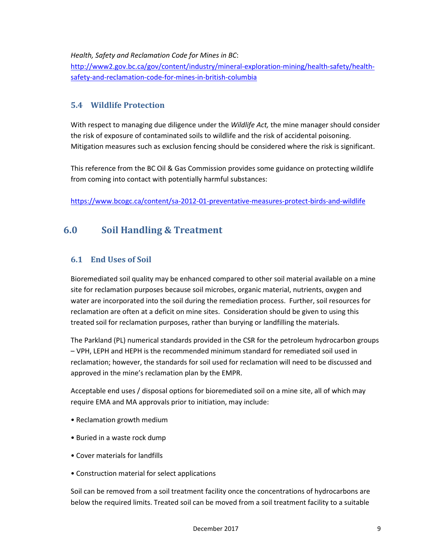Health, Safety and Reclamation Code for Mines in BC:

http://www2.gov.bc.ca/gov/content/industry/mineral-exploration-mining/health-safety/healthsafety-and-reclamation-code-for-mines-in-british-columbia

## 5.4 Wildlife Protection

With respect to managing due diligence under the Wildlife Act, the mine manager should consider the risk of exposure of contaminated soils to wildlife and the risk of accidental poisoning. Mitigation measures such as exclusion fencing should be considered where the risk is significant.

This reference from the BC Oil & Gas Commission provides some guidance on protecting wildlife from coming into contact with potentially harmful substances:

https://www.bcogc.ca/content/sa-2012-01-preventative-measures-protect-birds-and-wildlife

# 6.0 Soil Handling & Treatment

## 6.1 End Uses of Soil

Bioremediated soil quality may be enhanced compared to other soil material available on a mine site for reclamation purposes because soil microbes, organic material, nutrients, oxygen and water are incorporated into the soil during the remediation process. Further, soil resources for reclamation are often at a deficit on mine sites. Consideration should be given to using this treated soil for reclamation purposes, rather than burying or landfilling the materials.

The Parkland (PL) numerical standards provided in the CSR for the petroleum hydrocarbon groups – VPH, LEPH and HEPH is the recommended minimum standard for remediated soil used in reclamation; however, the standards for soil used for reclamation will need to be discussed and approved in the mine's reclamation plan by the EMPR.

Acceptable end uses / disposal options for bioremediated soil on a mine site, all of which may require EMA and MA approvals prior to initiation, may include:

- Reclamation growth medium
- Buried in a waste rock dump
- Cover materials for landfills
- Construction material for select applications

Soil can be removed from a soil treatment facility once the concentrations of hydrocarbons are below the required limits. Treated soil can be moved from a soil treatment facility to a suitable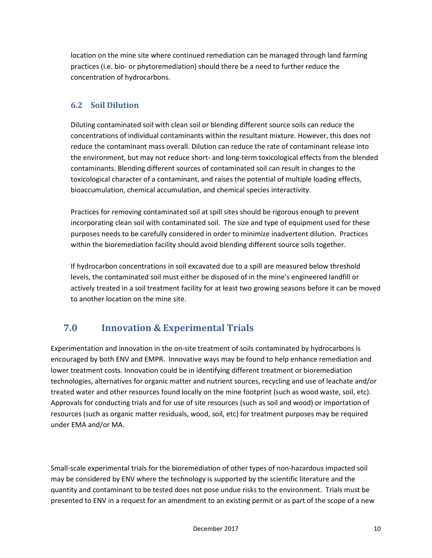location on the mine site where continued remediation can be managed through land farming practices (i.e. bio- or phytoremediation) should there be a need to further reduce the concentration of hydrocarbons.

## 6.2 Soil Dilution

Diluting contaminated soil with clean soil or blending different source soils can reduce the concentrations of individual contaminants within the resultant mixture. However, this does not reduce the contaminant mass overall. Dilution can reduce the rate of contaminant release into the environment, but may not reduce short- and long-term toxicological effects from the blended contaminants. Blending different sources of contaminated soil can result in changes to the toxicological character of a contaminant, and raises the potential of multiple loading effects, bioaccumulation, chemical accumulation, and chemical species interactivity.

Practices for removing contaminated soil at spill sites should be rigorous enough to prevent incorporating clean soil with contaminated soil. The size and type of equipment used for these purposes needs to be carefully considered in order to minimize inadvertent dilution. Practices within the bioremediation facility should avoid blending different source soils together.

If hydrocarbon concentrations in soil excavated due to a spill are measured below threshold levels, the contaminated soil must either be disposed of in the mine's engineered landfill or actively treated in a soil treatment facility for at least two growing seasons before it can be moved to another location on the mine site.

# 7.0 Innovation & Experimental Trials

Experimentation and innovation in the on-site treatment of soils contaminated by hydrocarbons is encouraged by both ENV and EMPR. Innovative ways may be found to help enhance remediation and lower treatment costs. Innovation could be in identifying different treatment or bioremediation technologies, alternatives for organic matter and nutrient sources, recycling and use of leachate and/or treated water and other resources found locally on the mine footprint (such as wood waste, soil, etc). Approvals for conducting trials and for use of site resources (such as soil and wood) or importation of resources (such as organic matter residuals, wood, soil, etc) for treatment purposes may be required under EMA and/or MA.

Small-scale experimental trials for the bioremediation of other types of non-hazardous impacted soil may be considered by ENV where the technology is supported by the scientific literature and the quantity and contaminant to be tested does not pose undue risks to the environment. Trials must be presented to ENV in a request for an amendment to an existing permit or as part of the scope of a new